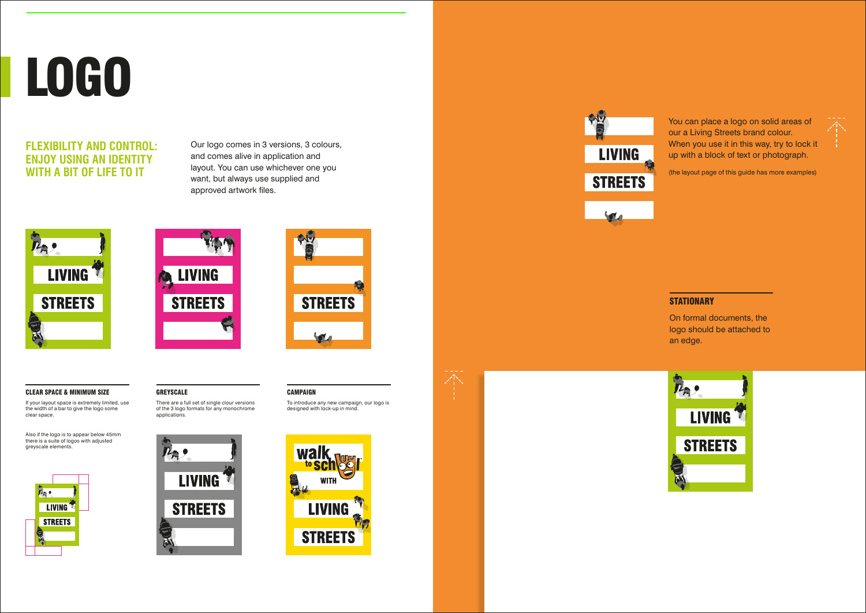### **FLEXIBILITY AND CONTROL: ENJOY USING AN IDENTITY WITH A BIT OF LIFE TO IT**

## LOGO

Our logo comes in 3 versions, 3 colours, and comes alive in application and layout. You can use whichever one you want, but always use supplied and approved artwork files.







CAMPAIGN







#### CLEAR SPACE & MINIMUM SIZE

If your layout space is extremely limited, use the width of a bar to give the logo some clear space.

Also if the logo is to appear below 45mm there is a suite of logos with adjusted greyscale elements.



On formal documents, the logo should be attached to an edge.



You can place a logo on solid areas of our a Living Streets brand colour. When you use it in this way, try to lock it up with a block of text or photograph.



(the layout page of this guide has more examples)

#### **STATIONARY**

#### GREYSCALE

There are a full set of single clour versions of the 3 logo formats for any monochrome applications.